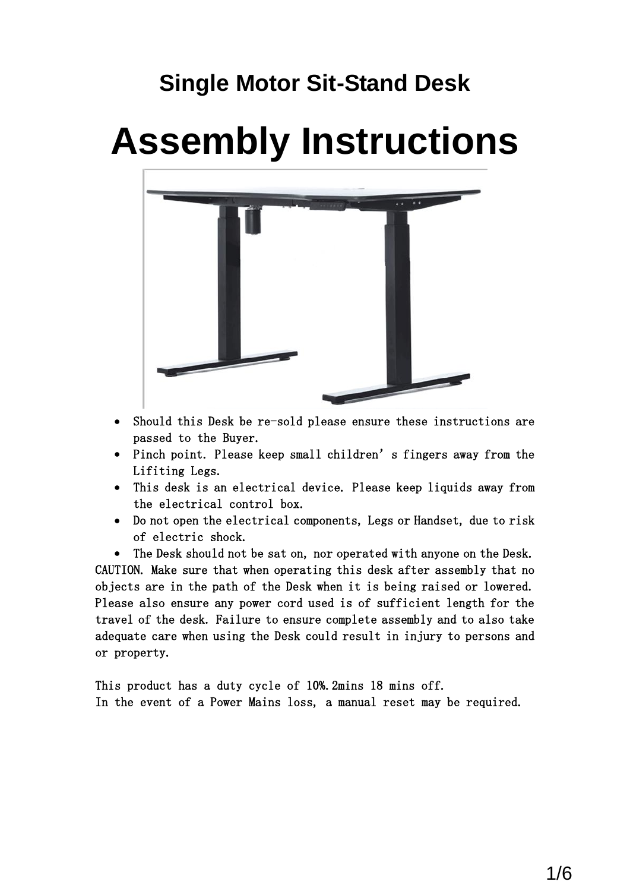# **Single Motor Sit-Stand Desk**

# **Assembly Instructions**



- Should this Desk be re-sold please ensure these instructions are passed to the Buyer.
- Pinch point. Please keep small children's fingers away from the Lifiting Legs.
- This desk is an electrical device. Please keep liquids away from the electrical control box.
- Do not open the electrical components, Legs or Handset, due to risk of electric shock.

 The Desk should not be sat on, nor operated with anyone on the Desk. CAUTION. Make sure that when operating this desk after assembly that no objects are in the path of the Desk when it is being raised or lowered. Please also ensure any power cord used is of sufficient length for the travel of the desk. Failure to ensure complete assembly and to also take adequate care when using the Desk could result in injury to persons and or property.

This product has a duty cycle of 10%.2mins 18 mins off. In the event of a Power Mains loss, a manual reset may be required.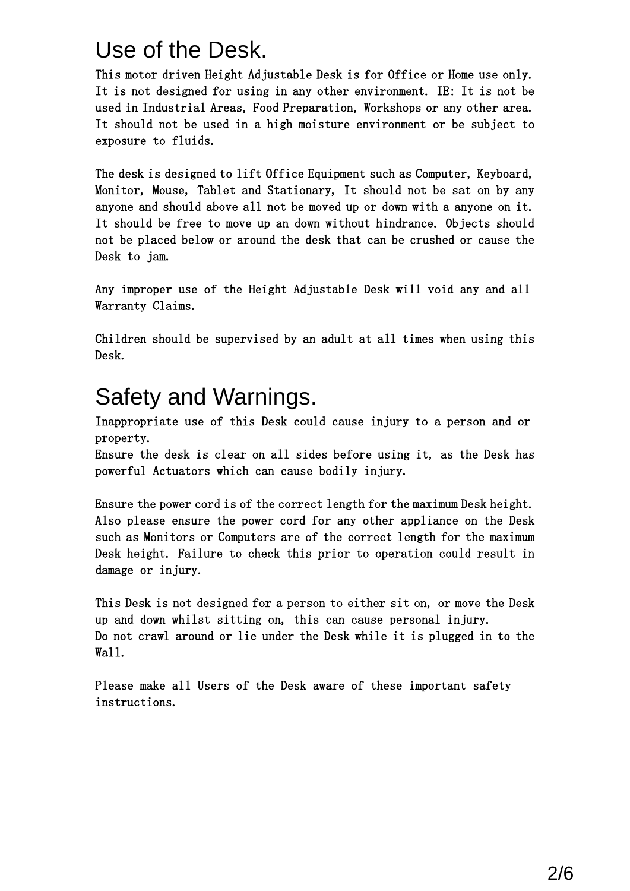## Use of the Desk.

This motor driven Height Adjustable Desk is for Office or Home use only. It is not designed for using in any other environment. IE: It is not be used in Industrial Areas, Food Preparation, Workshops or any other area. It should not be used in a high moisture environment or be subject to exposure to fluids.

The desk is designed to lift Office Equipment such as Computer, Keyboard, Monitor, Mouse, Tablet and Stationary, It should not be sat on by any anyone and should above all not be moved up or down with a anyone on it. It should be free to move up an down without hindrance. Objects should not be placed below or around the desk that can be crushed or cause the Desk to jam.

Any improper use of the Height Adjustable Desk will void any and all Warranty Claims.

Children should be supervised by an adult at all times when using this Desk.

## Safety and Warnings.

Inappropriate use of this Desk could cause injury to a person and or property.

Ensure the desk is clear on all sides before using it, as the Desk has powerful Actuators which can cause bodily injury.

Ensure the power cord is of the correct length for the maximum Desk height. Also please ensure the power cord for any other appliance on the Desk such as Monitors or Computers are of the correct length for the maximum Desk height. Failure to check this prior to operation could result in damage or injury.

This Desk is not designed for a person to either sit on, or move the Desk up and down whilst sitting on, this can cause personal injury. Do not crawl around or lie under the Desk while it is plugged in to the Wall.

Please make all Users of the Desk aware of these important safety instructions.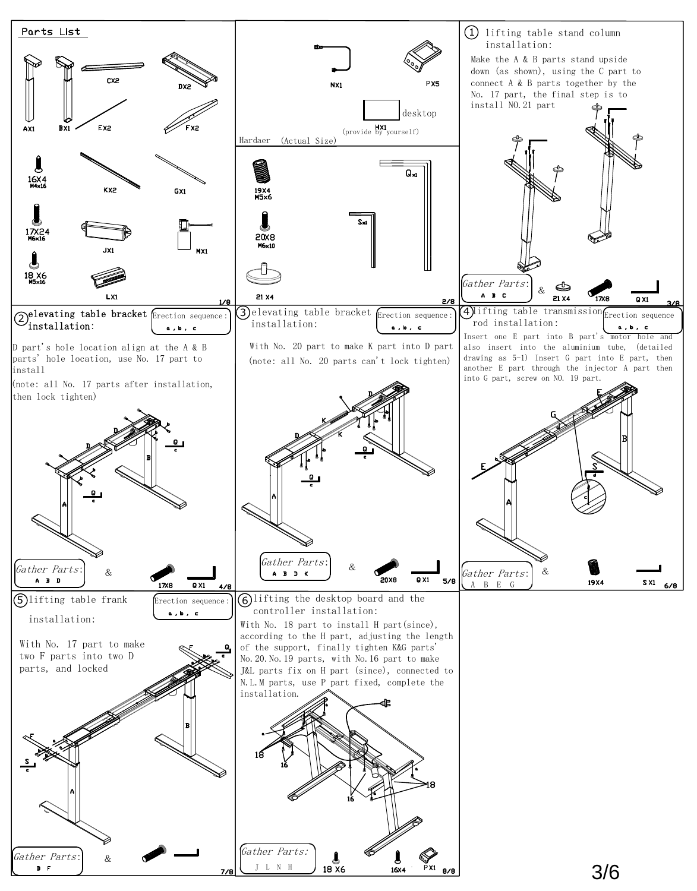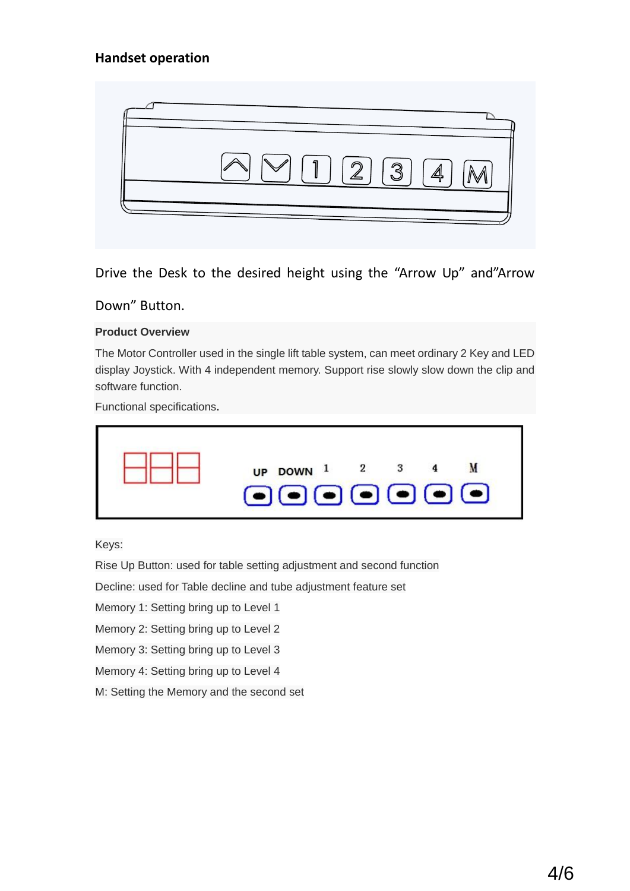### **Handset operation**



Drive the Desk to the desired height using the "Arrow Up" and"Arrow

Down" Button.

#### **Product Overview**

The Motor Controller used in the single lift table system, can meet ordinary 2 Key and LED display Joystick. With 4 independent memory. Support rise slowly slow down the clip and software function.

Functional specifications.

| UP DOWN $1$ 2 3<br>$\begin{picture}(40,40) \put(0,0){\line(1,0){10}} \put(15,0){\line(1,0){10}} \put(15,0){\line(1,0){10}} \put(15,0){\line(1,0){10}} \put(15,0){\line(1,0){10}} \put(15,0){\line(1,0){10}} \put(15,0){\line(1,0){10}} \put(15,0){\line(1,0){10}} \put(15,0){\line(1,0){10}} \put(15,0){\line(1,0){10}} \put(15,0){\line(1,0){10}} \put(15,0){\line(1$ |  |
|------------------------------------------------------------------------------------------------------------------------------------------------------------------------------------------------------------------------------------------------------------------------------------------------------------------------------------------------------------------------|--|
|------------------------------------------------------------------------------------------------------------------------------------------------------------------------------------------------------------------------------------------------------------------------------------------------------------------------------------------------------------------------|--|

Keys:

Rise Up Button: used for table setting adjustment and second function

Decline: used for Table decline and tube adjustment feature set

Memory 1: Setting bring up to Level 1

Memory 2: Setting bring up to Level 2

Memory 3: Setting bring up to Level 3

Memory 4: Setting bring up to Level 4

M: Setting the Memory and the second set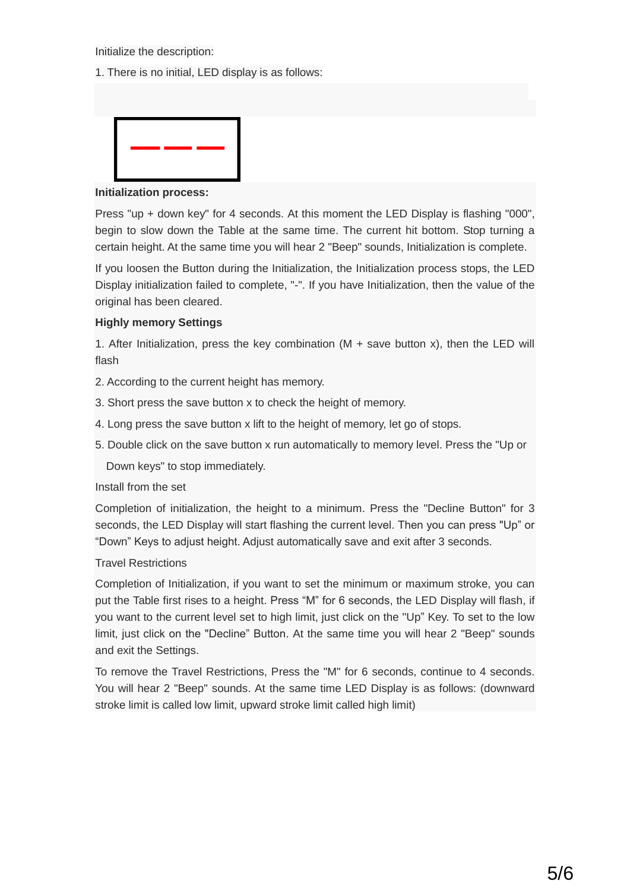Initialize the description:

1. There is no initial, LED display is as follows:



#### **Initialization process:**

Press "up + down key" for 4 seconds. At this moment the LED Display is flashing "000", begin to slow down the Table at the same time. The current hit bottom. Stop turning a certain height. At the same time you will hear 2 "Beep" sounds, Initialization is complete.

If you loosen the Button during the Initialization, the Initialization process stops, the LED Display initialization failed to complete, "-". If you have Initialization, then the value of the original has been cleared.

#### **Highly memory Settings**

1. After Initialization, press the key combination  $(M + \text{save button x})$ , then the LED will flash

2. According to the current height has memory.

- 3. Short press the save button x to check the height of memory.
- 4. Long press the save button x lift to the height of memory, let go of stops.
- 5. Double click on the save button x run automatically to memory level. Press the "Up or

Down keys" to stop immediately.

#### Install from the set

Completion of initialization, the height to a minimum. Press the "Decline Button" for 3 seconds, the LED Display will start flashing the current level. Then you can press "Up" or "Down" Keys to adjust height. Adjust automatically save and exit after 3 seconds.

#### Travel Restrictions

Completion of Initialization, if you want to set the minimum or maximum stroke, you can put the Table first rises to a height. Press "M" for 6 seconds, the LED Display will flash, if you want to the current level set to high limit, just click on the "Up" Key. To set to the low limit, just click on the "Decline" Button. At the same time you will hear 2 "Beep" sounds and exit the Settings.

To remove the Travel Restrictions, Press the "M" for 6 seconds, continue to 4 seconds. You will hear 2 "Beep" sounds. At the same time LED Display is as follows: (downward stroke limit is called low limit, upward stroke limit called high limit)